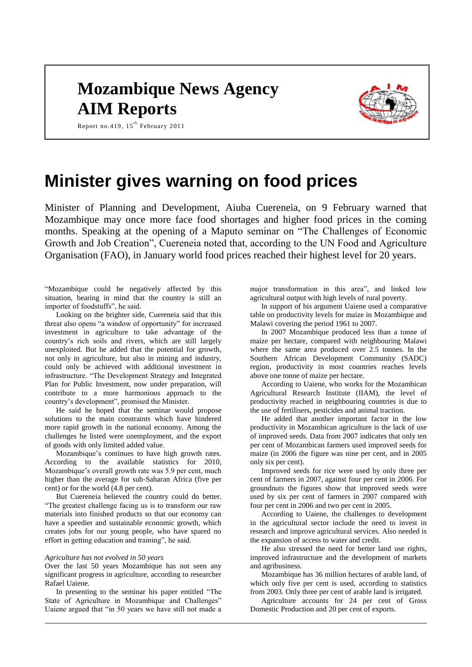## **Mozambique News Agency AIM Reports**



Report no.419,  $15^{\text{th}}$  February 2011

# **Minister gives warning on food prices**

Minister of Planning and Development, Aiuba Cuereneia, on 9 February warned that Mozambique may once more face food shortages and higher food prices in the coming months. Speaking at the opening of a Maputo seminar on "The Challenges of Economic Growth and Job Creation", Cuereneia noted that, according to the UN Food and Agriculture Organisation (FAO), in January world food prices reached their highest level for 20 years.

"Mozambique could be negatively affected by this situation, bearing in mind that the country is still an importer of foodstuffs", he said.

Looking on the brighter side, Cuereneia said that this threat also opens "a window of opportunity" for increased investment in agriculture to take advantage of the country's rich soils and rivers, which are still largely unexploited. But he added that the potential for growth, not only in agriculture, but also in mining and industry, could only be achieved with additional investment in infrastructure. "The Development Strategy and Integrated Plan for Public Investment, now under preparation, will contribute to a more harmonious approach to the country's development", promised the Minister.

He said he hoped that the seminar would propose solutions to the main constraints which have hindered more rapid growth in the national economy. Among the challenges he listed were unemployment, and the export of goods with only limited added value.

Mozambique's continues to have high growth rates. According to the available statistics for 2010, Mozambique's overall growth rate was 5.9 per cent, much higher than the average for sub-Saharan Africa (five per cent) or for the world (4.8 per cent).

But Cuereneia believed the country could do better. "The greatest challenge facing us is to transform our raw materials into finished products so that our economy can have a speedier and sustainable economic growth, which creates jobs for our young people, who have spared no effort in getting education and training", he said.

#### *Agriculture has not evolved in 50 years*

Over the last 50 years Mozambique has not seen any significant progress in agriculture, according to researcher Rafael Uaiene.

In presenting to the seminar his paper entitled "The State of Agriculture in Mozambique and Challenges" Uaiene argued that "in 50 years we have still not made a major transformation in this area", and linked low agricultural output with high levels of rural poverty.

In support of his argument Uaiene used a comparative table on productivity levels for maize in Mozambique and Malawi covering the period 1961 to 2007.

In 2007 Mozambique produced less than a tonne of maize per hectare, compared with neighbouring Malawi where the same area produced over 2.5 tonnes. In the Southern African Development Community (SADC) region, productivity in most countries reaches levels above one tonne of maize per hectare.

According to Uaiene, who works for the Mozambican Agricultural Research Institute (IIAM), the level of productivity reached in neighbouring countries is due to the use of fertilisers, pesticides and animal traction.

He added that another important factor in the low productivity in Mozambican agriculture is the lack of use of improved seeds. Data from 2007 indicates that only ten per cent of Mozambican farmers used improved seeds for maize (in 2006 the figure was nine per cent, and in 2005 only six per cent).

Improved seeds for rice were used by only three per cent of farmers in 2007, against four per cent in 2006. For groundnuts the figures show that improved seeds were used by six per cent of farmers in 2007 compared with four per cent in 2006 and two per cent in 2005.

According to Uaiene, the challenges to development in the agricultural sector include the need to invest in research and improve agricultural services. Also needed is the expansion of access to water and credit.

He also stressed the need for better land use rights, improved infrastructure and the development of markets and agribusiness.

Mozambique has 36 million hectares of arable land, of which only five per cent is used, according to statistics from 2003. Only three per cent of arable land is irrigated.

Agriculture accounts for 24 per cent of Gross Domestic Production and 20 per cent of exports.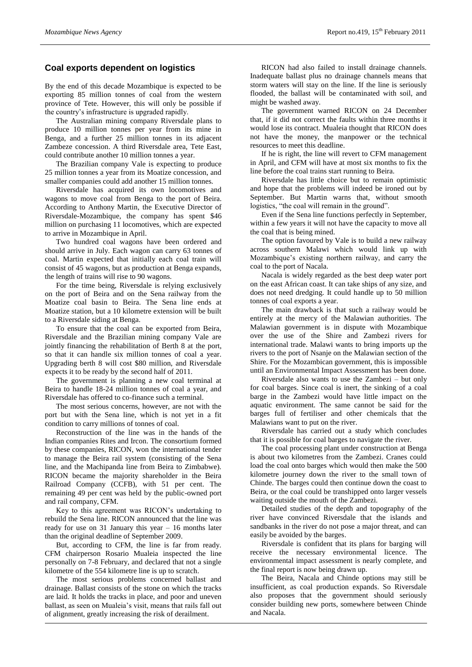#### **Coal exports dependent on logistics**

By the end of this decade Mozambique is expected to be exporting 85 million tonnes of coal from the western province of Tete. However, this will only be possible if the country's infrastructure is upgraded rapidly.

The Australian mining company Riversdale plans to produce 10 million tonnes per year from its mine in Benga, and a further 25 million tonnes in its adjacent Zambeze concession. A third Riversdale area, Tete East, could contribute another 10 million tonnes a year.

The Brazilian company Vale is expecting to produce 25 million tonnes a year from its Moatize concession, and smaller companies could add another 15 million tonnes.

Riversdale has acquired its own locomotives and wagons to move coal from Benga to the port of Beira. According to Anthony Martin, the Executive Director of Riversdale-Mozambique, the company has spent \$46 million on purchasing 11 locomotives, which are expected to arrive in Mozambique in April.

Two hundred coal wagons have been ordered and should arrive in July. Each wagon can carry 63 tonnes of coal. Martin expected that initially each coal train will consist of 45 wagons, but as production at Benga expands, the length of trains will rise to 90 wagons.

For the time being, Riversdale is relying exclusively on the port of Beira and on the Sena railway from the Moatize coal basin to Beira. The Sena line ends at Moatize station, but a 10 kilometre extension will be built to a Riversdale siding at Benga.

To ensure that the coal can be exported from Beira, Riversdale and the Brazilian mining company Vale are jointly financing the rehabilitation of Berth 8 at the port, so that it can handle six million tonnes of coal a year. Upgrading berth 8 will cost \$80 million, and Riversdale expects it to be ready by the second half of 2011.

The government is planning a new coal terminal at Beira to handle 18-24 million tonnes of coal a year, and Riversdale has offered to co-finance such a terminal.

The most serious concerns, however, are not with the port but with the Sena line, which is not yet in a fit condition to carry millions of tonnes of coal.

Reconstruction of the line was in the hands of the Indian companies Rites and Ircon. The consortium formed by these companies, RICON, won the international tender to manage the Beira rail system (consisting of the Sena line, and the Machipanda line from Beira to Zimbabwe). RICON became the majority shareholder in the Beira Railroad Company (CCFB), with 51 per cent. The remaining 49 per cent was held by the public-owned port and rail company, CFM.

Key to this agreement was RICON's undertaking to rebuild the Sena line. RICON announced that the line was ready for use on 31 January this year – 16 months later than the original deadline of September 2009.

But, according to CFM, the line is far from ready. CFM chairperson Rosario Mualeia inspected the line personally on 7-8 February, and declared that not a single kilometre of the 554 kilometre line is up to scratch.

The most serious problems concerned ballast and drainage. Ballast consists of the stone on which the tracks are laid. It holds the tracks in place, and poor and uneven ballast, as seen on Mualeia's visit, means that rails fall out of alignment, greatly increasing the risk of derailment.

RICON had also failed to install drainage channels. Inadequate ballast plus no drainage channels means that storm waters will stay on the line. If the line is seriously flooded, the ballast will be contaminated with soil, and might be washed away.

The government warned RICON on 24 December that, if it did not correct the faults within three months it would lose its contract. Mualeia thought that RICON does not have the money, the manpower or the technical resources to meet this deadline.

If he is right, the line will revert to CFM management in April, and CFM will have at most six months to fix the line before the coal trains start running to Beira.

Riversdale has little choice but to remain optimistic and hope that the problems will indeed be ironed out by September. But Martin warns that, without smooth logistics, "the coal will remain in the ground".

Even if the Sena line functions perfectly in September, within a few years it will not have the capacity to move all the coal that is being mined.

The option favoured by Vale is to build a new railway across southern Malawi which would link up with Mozambique's existing northern railway, and carry the coal to the port of Nacala.

Nacala is widely regarded as the best deep water port on the east African coast. It can take ships of any size, and does not need dredging. It could handle up to 50 million tonnes of coal exports a year.

The main drawback is that such a railway would be entirely at the mercy of the Malawian authorities. The Malawian government is in dispute with Mozambique over the use of the Shire and Zambezi rivers for international trade. Malawi wants to bring imports up the rivers to the port of Nsanje on the Malawian section of the Shire. For the Mozambican government, this is impossible until an Environmental Impact Assessment has been done.

Riversdale also wants to use the Zambezi – but only for coal barges. Since coal is inert, the sinking of a coal barge in the Zambezi would have little impact on the aquatic environment. The same cannot be said for the barges full of fertiliser and other chemicals that the Malawians want to put on the river.

Riversdale has carried out a study which concludes that it is possible for coal barges to navigate the river.

The coal processing plant under construction at Benga is about two kilometres from the Zambezi. Cranes could load the coal onto barges which would then make the 500 kilometre journey down the river to the small town of Chinde. The barges could then continue down the coast to Beira, or the coal could be transhipped onto larger vessels waiting outside the mouth of the Zambezi.

Detailed studies of the depth and topography of the river have convinced Riversdale that the islands and sandbanks in the river do not pose a major threat, and can easily be avoided by the barges.

Riversdale is confident that its plans for barging will receive the necessary environmental licence. The environmental impact assessment is nearly complete, and the final report is now being drawn up.

The Beira, Nacala and Chinde options may still be insufficient, as coal production expands. So Riversdale also proposes that the government should seriously consider building new ports, somewhere between Chinde and Nacala.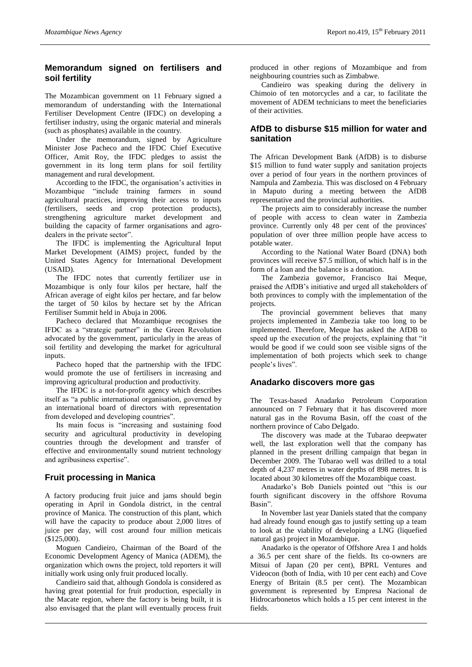### **Memorandum signed on fertilisers and soil fertility**

The Mozambican government on 11 February signed a memorandum of understanding with the International Fertiliser Development Centre (IFDC) on developing a fertiliser industry, using the organic material and minerals (such as phosphates) available in the country.

Under the memorandum, signed by Agriculture Minister Jose Pacheco and the IFDC Chief Executive Officer, Amit Roy, the IFDC pledges to assist the government in its long term plans for soil fertility management and rural development.

According to the IFDC, the organisation's activities in Mozambique "include training farmers in sound agricultural practices, improving their access to inputs (fertilisers, seeds and crop protection products), strengthening agriculture market development and building the capacity of farmer organisations and agrodealers in the private sector".

The IFDC is implementing the Agricultural Input Market Development (AIMS) project, funded by the United States Agency for International Development (USAID).

The IFDC notes that currently fertilizer use in Mozambique is only four kilos per hectare, half the African average of eight kilos per hectare, and far below the target of 50 kilos by hectare set by the African Fertiliser Summit held in Abuja in 2006.

Pacheco declared that Mozambique recognises the IFDC as a "strategic partner" in the Green Revolution advocated by the government, particularly in the areas of soil fertility and developing the market for agricultural inputs.

Pacheco hoped that the partnership with the IFDC would promote the use of fertilisers in increasing and improving agricultural production and productivity.

The IFDC is a not-for-profit agency which describes itself as "a public international organisation, governed by an international board of directors with representation from developed and developing countries".

Its main focus is "increasing and sustaining food security and agricultural productivity in developing countries through the development and transfer of effective and environmentally sound nutrient technology and agribusiness expertise".

#### **Fruit processing in Manica**

A factory producing fruit juice and jams should begin operating in April in Gondola district, in the central province of Manica. The construction of this plant, which will have the capacity to produce about 2,000 litres of juice per day, will cost around four million meticais (\$125,000).

Moguen Candieiro, Chairman of the Board of the Economic Development Agency of Manica (ADEM), the organization which owns the project, told reporters it will initially work using only fruit produced locally.

Candieiro said that, although Gondola is considered as having great potential for fruit production, especially in the Macate region, where the factory is being built, it is also envisaged that the plant will eventually process fruit produced in other regions of Mozambique and from neighbouring countries such as Zimbabwe.

Candieiro was speaking during the delivery in Chimoio of ten motorcycles and a car, to facilitate the movement of ADEM technicians to meet the beneficiaries of their activities.

#### **AfDB to disburse \$15 million for water and sanitation**

The African Development Bank (AfDB) is to disburse \$15 million to fund water supply and sanitation projects over a period of four years in the northern provinces of Nampula and Zambezia. This was disclosed on 4 February in Maputo during a meeting between the AfDB representative and the provincial authorities.

The projects aim to considerably increase the number of people with access to clean water in Zambezia province. Currently only 48 per cent of the provinces' population of over three million people have access to potable water.

According to the National Water Board (DNA) both provinces will receive \$7.5 million, of which half is in the form of a loan and the balance is a donation.

The Zambezia governor, Francisco Itai Meque, praised the AfDB's initiative and urged all stakeholders of both provinces to comply with the implementation of the projects.

The provincial government believes that many projects implemented in Zambezia take too long to be implemented. Therefore, Meque has asked the AfDB to speed up the execution of the projects, explaining that "it would be good if we could soon see visible signs of the implementation of both projects which seek to change people's lives".

#### **Anadarko discovers more gas**

The Texas-based Anadarko Petroleum Corporation announced on 7 February that it has discovered more natural gas in the Rovuma Basin, off the coast of the northern province of Cabo Delgado.

The discovery was made at the Tubarao deepwater well, the last exploration well that the company has planned in the present drilling campaign that began in December 2009. The Tubarao well was drilled to a total depth of 4,237 metres in water depths of 898 metres. It is located about 30 kilometres off the Mozambique coast.

Anadarko's Bob Daniels pointed out "this is our fourth significant discovery in the offshore Rovuma Basin".

In November last year Daniels stated that the company had already found enough gas to justify setting up a team to look at the viability of developing a LNG (liquefied natural gas) project in Mozambique.

Anadarko is the operator of Offshore Area 1 and holds a 36.5 per cent share of the fields. Its co-owners are Mitsui of Japan (20 per cent), BPRL Ventures and Videocon (both of India, with 10 per cent each) and Cove Energy of Britain (8.5 per cent). The Mozambican government is represented by Empresa Nacional de Hidrocarbonetos which holds a 15 per cent interest in the fields.